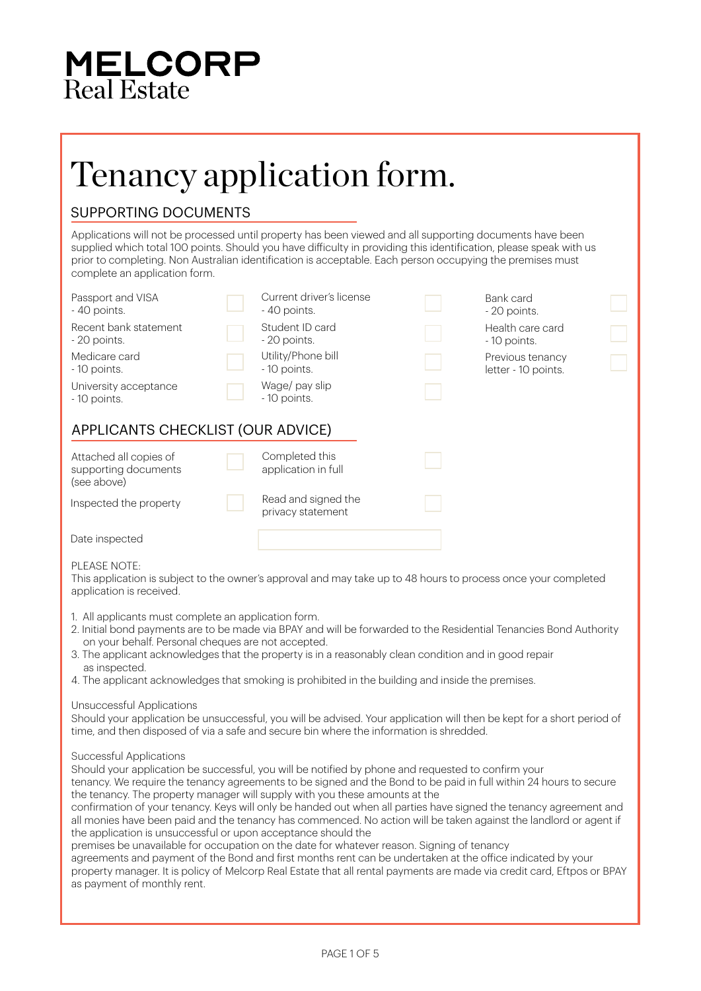### **MELCORP** Real Estate

### Tenancy application form.

### SUPPORTING DOCUMENTS

Applications will not be processed until property has been viewed and all supporting documents have been supplied which total 100 points. Should you have difficulty in providing this identification, please speak with us prior to completing. Non Australian identification is acceptable. Each person occupying the premises must complete an application form.

| Passport and VISA<br>- 40 points.                             | Current driver's license<br>- 40 points. | Bank card<br>- 20 points.               |
|---------------------------------------------------------------|------------------------------------------|-----------------------------------------|
| Recent bank statement<br>- 20 points.                         | Student ID card<br>- 20 points.          | Health care card<br>- 10 points.        |
| Medicare card<br>- 10 points.                                 | Utility/Phone bill<br>- 10 points.       | Previous tenancy<br>letter - 10 points. |
| University acceptance<br>- 10 points.                         | Wage/ pay slip<br>- 10 points.           |                                         |
| APPLICANTS CHECKLIST (OUR ADVICE)                             |                                          |                                         |
| Attached all copies of<br>supporting documents<br>(see above) | Completed this<br>application in full    |                                         |
| Inspected the property                                        | Read and signed the<br>privacy statement |                                         |
| Date inspected                                                |                                          |                                         |

#### PLEASE NOTE:

This application is subject to the owner's approval and may take up to 48 hours to process once your completed application is received.

- 1. All applicants must complete an application form.
- 2. Initial bond payments are to be made via BPAY and will be forwarded to the Residential Tenancies Bond Authority on your behalf. Personal cheques are not accepted.
- 3. The applicant acknowledges that the property is in a reasonably clean condition and in good repair as inspected.
- 4. The applicant acknowledges that smoking is prohibited in the building and inside the premises.

#### Unsuccessful Applications

Should your application be unsuccessful, you will be advised. Your application will then be kept for a short period of time, and then disposed of via a safe and secure bin where the information is shredded.

Successful Applications

Should your application be successful, you will be notified by phone and requested to confirm your tenancy. We require the tenancy agreements to be signed and the Bond to be paid in full within 24 hours to secure the tenancy. The property manager will supply with you these amounts at the

confirmation of your tenancy. Keys will only be handed out when all parties have signed the tenancy agreement and all monies have been paid and the tenancy has commenced. No action will be taken against the landlord or agent if the application is unsuccessful or upon acceptance should the

premises be unavailable for occupation on the date for whatever reason. Signing of tenancy

agreements and payment of the Bond and first months rent can be undertaken at the office indicated by your property manager. It is policy of Melcorp Real Estate that all rental payments are made via credit card, Eftpos or BPAY as payment of monthly rent.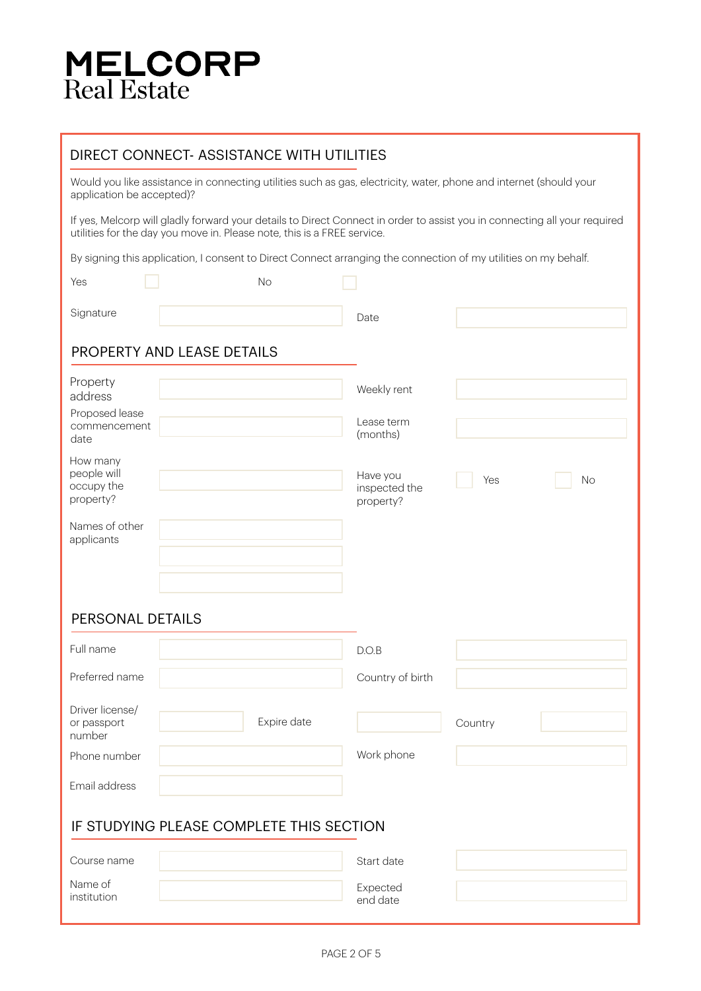## **MELCORP**<br>Real Estate

### DIRECT CONNECT- ASSISTANCE WITH UTILITIES

Would you like assistance in connecting utilities such as gas, electricity, water, phone and internet (should your application be accepted)?

If yes, Melcorp will gladly forward your details to Direct Connect in order to assist you in connecting all your required utilities for the day you move in. Please note, this is a FREE service.

By signing this application, I consent to Direct Connect arranging the connection of my utilities on my behalf.

| Yes                                                | <b>No</b>                  |                                        |           |  |
|----------------------------------------------------|----------------------------|----------------------------------------|-----------|--|
| Signature                                          |                            | Date                                   |           |  |
|                                                    | PROPERTY AND LEASE DETAILS |                                        |           |  |
| Property<br>address                                |                            | Weekly rent                            |           |  |
| Proposed lease<br>commencement<br>date             |                            | Lease term<br>(months)                 |           |  |
| How many<br>people will<br>occupy the<br>property? |                            | Have you<br>inspected the<br>property? | Yes<br>No |  |
| Names of other<br>applicants                       |                            |                                        |           |  |
|                                                    |                            |                                        |           |  |
| PERSONAL DETAILS                                   |                            |                                        |           |  |
|                                                    |                            |                                        |           |  |
| Full name                                          |                            | D.O.B                                  |           |  |
| Preferred name                                     |                            | Country of birth                       |           |  |
| Driver license/<br>or passport<br>number           | Expire date                |                                        | Country   |  |
| Phone number                                       |                            | Work phone                             |           |  |
| Email address                                      |                            |                                        |           |  |
| IF STUDYING PLEASE COMPLETE THIS SECTION           |                            |                                        |           |  |
| Course name                                        |                            | Start date                             |           |  |
| Name of<br>institution                             |                            | Expected<br>end date                   |           |  |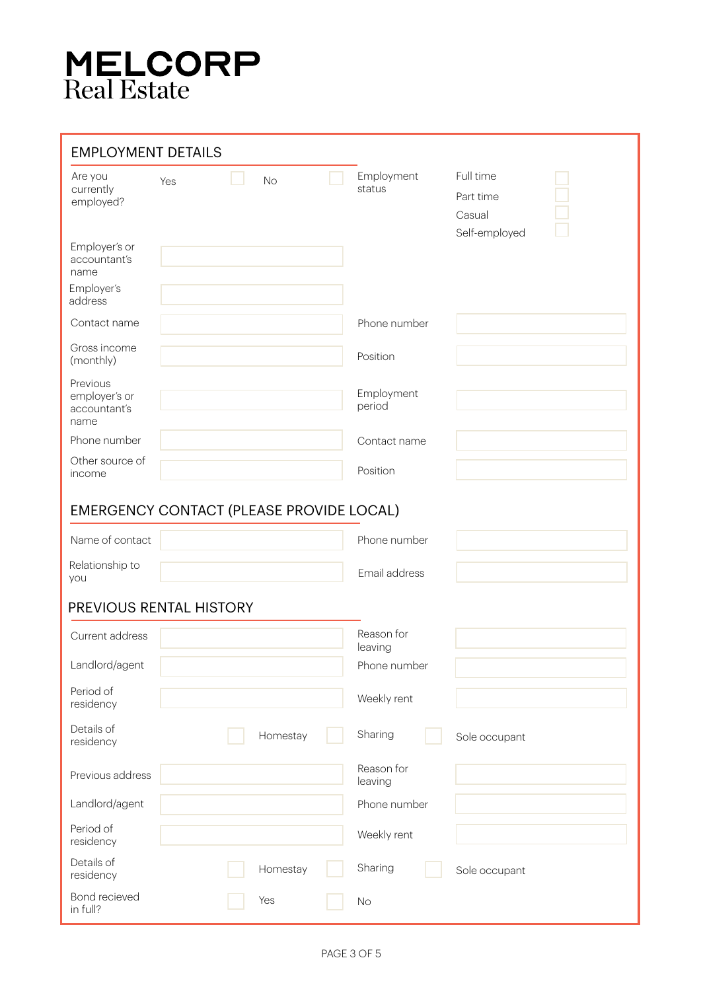# **MELCORP**<br>Real Estate

| <b>EMPLOYMENT DETAILS</b>                         |     |           |                       |                                                   |  |
|---------------------------------------------------|-----|-----------|-----------------------|---------------------------------------------------|--|
| Are you<br>currently<br>employed?                 | Yes | <b>No</b> | Employment<br>status  | Full time<br>Part time<br>Casual<br>Self-employed |  |
| Employer's or<br>accountant's<br>name             |     |           |                       |                                                   |  |
| Employer's<br>address                             |     |           |                       |                                                   |  |
| Contact name                                      |     |           | Phone number          |                                                   |  |
| Gross income<br>(monthly)                         |     |           | Position              |                                                   |  |
| Previous<br>employer's or<br>accountant's<br>name |     |           | Employment<br>period  |                                                   |  |
| Phone number                                      |     |           | Contact name          |                                                   |  |
| Other source of<br>income                         |     |           | Position              |                                                   |  |
| EMERGENCY CONTACT (PLEASE PROVIDE LOCAL)          |     |           |                       |                                                   |  |
| Name of contact                                   |     |           | Phone number          |                                                   |  |
| Relationship to<br>you                            |     |           | Email address         |                                                   |  |
| PREVIOUS RENTAL HISTORY                           |     |           |                       |                                                   |  |
| Current address                                   |     |           | Reason for<br>leaving |                                                   |  |
| Landlord/agent                                    |     |           | Phone number          |                                                   |  |
| Period of<br>residency                            |     |           | Weekly rent           |                                                   |  |
| Details of<br>residency                           |     | Homestay  | Sharing               | Sole occupant                                     |  |
| Previous address                                  |     |           | Reason for<br>leaving |                                                   |  |
| Landlord/agent                                    |     |           | Phone number          |                                                   |  |
| Period of<br>residency                            |     |           | Weekly rent           |                                                   |  |
| Details of<br>residency                           |     | Homestay  | Sharing               | Sole occupant                                     |  |
| Bond recieved<br>in full?                         |     | Yes       | No                    |                                                   |  |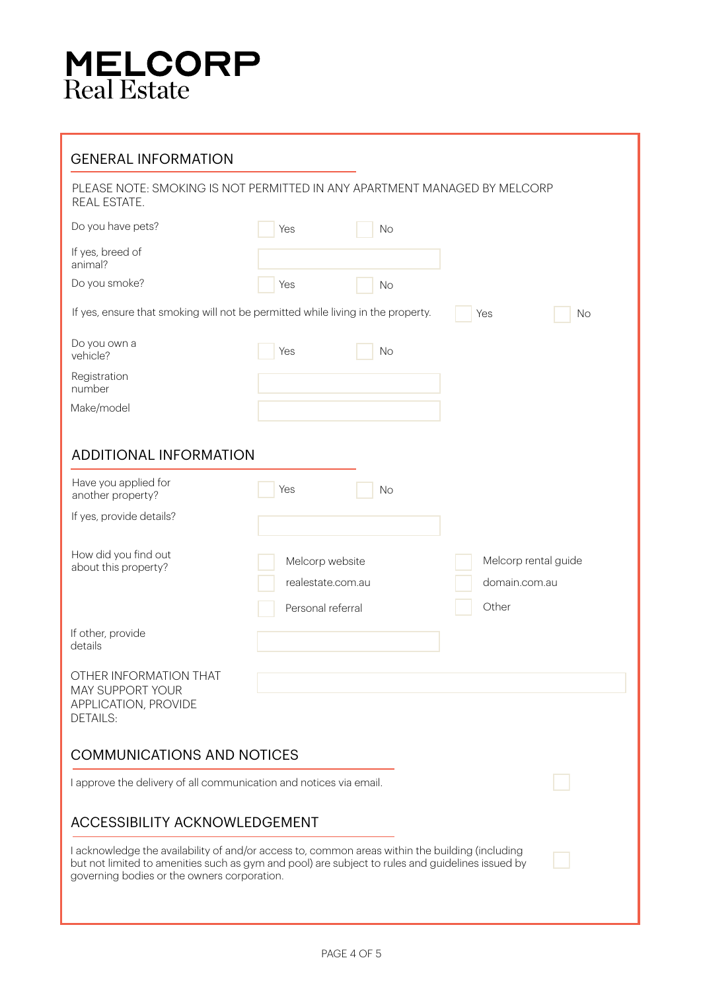# **MELCORP**<br>Real Estate

| <b>GENERAL INFORMATION</b>                                                                                                                                                                                                                         |                                                           |           |                                                |    |
|----------------------------------------------------------------------------------------------------------------------------------------------------------------------------------------------------------------------------------------------------|-----------------------------------------------------------|-----------|------------------------------------------------|----|
| PLEASE NOTE: SMOKING IS NOT PERMITTED IN ANY APARTMENT MANAGED BY MELCORP<br>REAL ESTATE.                                                                                                                                                          |                                                           |           |                                                |    |
| Do you have pets?                                                                                                                                                                                                                                  | Yes                                                       | <b>No</b> |                                                |    |
| If yes, breed of<br>animal?                                                                                                                                                                                                                        |                                                           |           |                                                |    |
| Do you smoke?                                                                                                                                                                                                                                      | Yes                                                       | <b>No</b> |                                                |    |
| If yes, ensure that smoking will not be permitted while living in the property.                                                                                                                                                                    |                                                           |           | Yes                                            | No |
| Do you own a<br>vehicle?                                                                                                                                                                                                                           | Yes                                                       | No        |                                                |    |
| Registration<br>number                                                                                                                                                                                                                             |                                                           |           |                                                |    |
| Make/model                                                                                                                                                                                                                                         |                                                           |           |                                                |    |
| <b>ADDITIONAL INFORMATION</b>                                                                                                                                                                                                                      |                                                           |           |                                                |    |
| Have you applied for<br>another property?                                                                                                                                                                                                          | Yes                                                       | No        |                                                |    |
| If yes, provide details?                                                                                                                                                                                                                           |                                                           |           |                                                |    |
| How did you find out<br>about this property?                                                                                                                                                                                                       | Melcorp website<br>realestate.com.au<br>Personal referral |           | Melcorp rental guide<br>domain.com.au<br>Other |    |
| If other, provide<br>details                                                                                                                                                                                                                       |                                                           |           |                                                |    |
| OTHER INFORMATION THAT<br><b>MAY SUPPORT YOUR</b><br>APPLICATION, PROVIDE<br><b>DETAILS:</b>                                                                                                                                                       |                                                           |           |                                                |    |
| <b>COMMUNICATIONS AND NOTICES</b>                                                                                                                                                                                                                  |                                                           |           |                                                |    |
| I approve the delivery of all communication and notices via email.                                                                                                                                                                                 |                                                           |           |                                                |    |
| <b>ACCESSIBILITY ACKNOWLEDGEMENT</b>                                                                                                                                                                                                               |                                                           |           |                                                |    |
| I acknowledge the availability of and/or access to, common areas within the building (including<br>but not limited to amenities such as gym and pool) are subject to rules and guidelines issued by<br>governing bodies or the owners corporation. |                                                           |           |                                                |    |